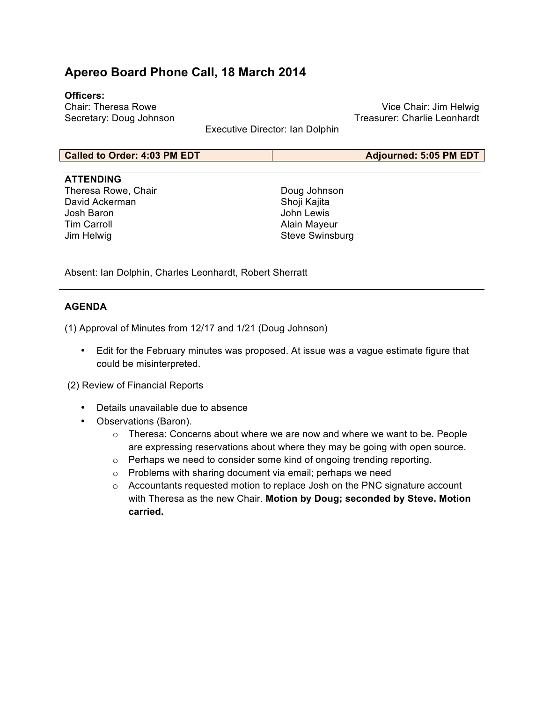# **Apereo Board Phone Call, 18 March 2014**

#### **Officers:**

Chair: Theresa Rowe Secretary: Doug Johnson

Vice Chair: Jim Helwig Treasurer: Charlie Leonhardt

Executive Director: Ian Dolphin

#### **Called to Order: 4:03 PM EDT Adjourned: 5:05 PM EDT**

#### **ATTENDING**

Theresa Rowe, Chair David Ackerman Josh Baron Tim Carroll Jim Helwig

Doug Johnson Shoji Kajita John Lewis Alain Mayeur Steve Swinsburg

Absent: Ian Dolphin, Charles Leonhardt, Robert Sherratt

### **AGENDA**

(1) Approval of Minutes from 12/17 and 1/21 (Doug Johnson)

• Edit for the February minutes was proposed. At issue was a vague estimate figure that could be misinterpreted.

(2) Review of Financial Reports

- Details unavailable due to absence
- Observations (Baron).
	- o Theresa: Concerns about where we are now and where we want to be. People are expressing reservations about where they may be going with open source.
	- o Perhaps we need to consider some kind of ongoing trending reporting.
	- o Problems with sharing document via email; perhaps we need
	- $\circ$  Accountants requested motion to replace Josh on the PNC signature account with Theresa as the new Chair. **Motion by Doug; seconded by Steve. Motion carried.**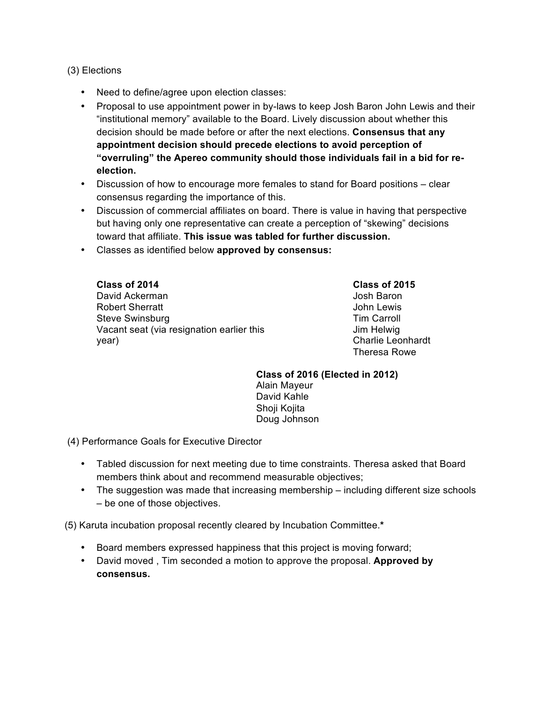## (3) Elections

- Need to define/agree upon election classes:
- Proposal to use appointment power in by-laws to keep Josh Baron John Lewis and their "institutional memory" available to the Board. Lively discussion about whether this decision should be made before or after the next elections. **Consensus that any appointment decision should precede elections to avoid perception of "overruling" the Apereo community should those individuals fail in a bid for reelection.**
- Discussion of how to encourage more females to stand for Board positions clear consensus regarding the importance of this.
- Discussion of commercial affiliates on board. There is value in having that perspective but having only one representative can create a perception of "skewing" decisions toward that affiliate. **This issue was tabled for further discussion.**
- Classes as identified below **approved by consensus:**

**Class of 2014** David Ackerman Robert Sherratt Steve Swinsburg Vacant seat (via resignation earlier this year)

**Class of 2015** Josh Baron John Lewis Tim Carroll Jim Helwig Charlie Leonhardt Theresa Rowe

**Class of 2016 (Elected in 2012)** Alain Mayeur David Kahle Shoji Kojita Doug Johnson

(4) Performance Goals for Executive Director

- Tabled discussion for next meeting due to time constraints. Theresa asked that Board members think about and recommend measurable objectives;
- The suggestion was made that increasing membership including different size schools – be one of those objectives.

(5) Karuta incubation proposal recently cleared by Incubation Committee.**\***

- Board members expressed happiness that this project is moving forward;
- David moved , Tim seconded a motion to approve the proposal. **Approved by consensus.**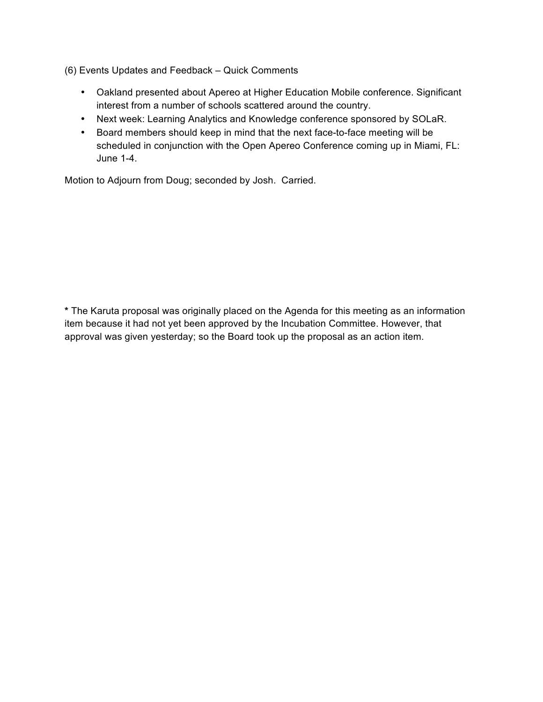(6) Events Updates and Feedback – Quick Comments

- Oakland presented about Apereo at Higher Education Mobile conference. Significant interest from a number of schools scattered around the country.
- Next week: Learning Analytics and Knowledge conference sponsored by SOLaR.
- Board members should keep in mind that the next face-to-face meeting will be scheduled in conjunction with the Open Apereo Conference coming up in Miami, FL: June 1-4.

Motion to Adjourn from Doug; seconded by Josh. Carried.

**\*** The Karuta proposal was originally placed on the Agenda for this meeting as an information item because it had not yet been approved by the Incubation Committee. However, that approval was given yesterday; so the Board took up the proposal as an action item.